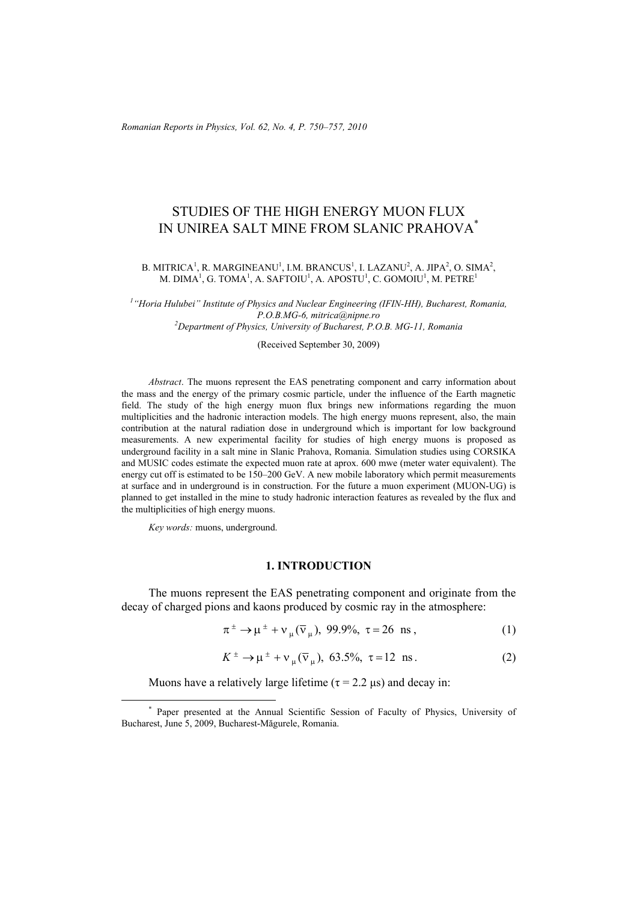*Romanian Reports in Physics, Vol. 62, No. 4, P. 750–757, 2010*

# STUDIES OF THE HIGH ENERGY MUON FLUX IN UNIREA SALT MINE FROM SLANIC PRAHOVA\*

### B. MITRICA<sup>1</sup>, R. MARGINEANU<sup>1</sup>, I.M. BRANCUS<sup>1</sup>, I. LAZANU<sup>2</sup>, A. JIPA<sup>2</sup>, O. SIMA<sup>2</sup>, M. DIMA $^1$ , G. TOMA $^1$ , A. SAFTOIU $^1$ , A. APOSTU $^1$ , C. GOMOIU $^1$ , M. PETRE $^1$

<sup>1</sup> "Horia Hulubei" Institute of Physics and Nuclear Engineering (IFIN-HH), Bucharest, Romania, *P.O.B.MG-6, mitrica@nipne.ro 2 Department of Physics, University of Bucharest, P.O.B. MG-11, Romania* 

(Received September 30, 2009)

*Abstract*. The muons represent the EAS penetrating component and carry information about the mass and the energy of the primary cosmic particle, under the influence of the Earth magnetic field. The study of the high energy muon flux brings new informations regarding the muon multiplicities and the hadronic interaction models. The high energy muons represent, also, the main contribution at the natural radiation dose in underground which is important for low background measurements. A new experimental facility for studies of high energy muons is proposed as underground facility in a salt mine in Slanic Prahova, Romania. Simulation studies using CORSIKA and MUSIC codes estimate the expected muon rate at aprox. 600 mwe (meter water equivalent). The energy cut off is estimated to be 150–200 GeV. A new mobile laboratory which permit measurements at surface and in underground is in construction. For the future a muon experiment (MUON-UG) is planned to get installed in the mine to study hadronic interaction features as revealed by the flux and the multiplicities of high energy muons.

*Key words:* muons, underground.

i<br>L

### **1. INTRODUCTION**

The muons represent the EAS penetrating component and originate from the decay of charged pions and kaons produced by cosmic ray in the atmosphere:

$$
\pi^{\pm} \to \mu^{\pm} + \nu_{\mu} (\bar{\nu}_{\mu}), 99.9\%, \tau = 26 \text{ ns}, \tag{1}
$$

$$
K^{\pm} \to \mu^{\pm} + \nu_{\mu} (\bar{\nu}_{\mu}), \ 63.5\%, \ \tau = 12 \ \text{ns}. \tag{2}
$$

Muons have a relatively large lifetime ( $\tau$  = 2.2  $\mu$ s) and decay in:

<sup>\*</sup> Paper presented at the Annual Scientific Session of Faculty of Physics, University of Bucharest, June 5, 2009, Bucharest-Măgurele, Romania.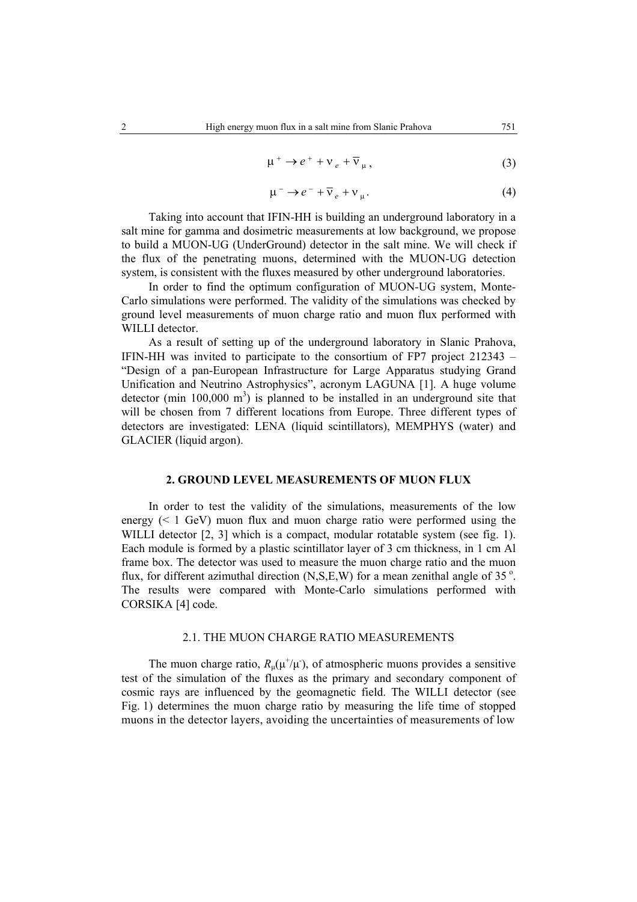$$
\mu^+ \to e^+ + \nu_e + \overline{\nu}_\mu,\tag{3}
$$

$$
\mu^- \to e^- + \overline{\nu}_e + \nu_\mu. \tag{4}
$$

Taking into account that IFIN-HH is building an underground laboratory in a salt mine for gamma and dosimetric measurements at low background, we propose to build a MUON-UG (UnderGround) detector in the salt mine. We will check if the flux of the penetrating muons, determined with the MUON-UG detection system, is consistent with the fluxes measured by other underground laboratories.

In order to find the optimum configuration of MUON-UG system, Monte-Carlo simulations were performed. The validity of the simulations was checked by ground level measurements of muon charge ratio and muon flux performed with WILLI detector.

As a result of setting up of the underground laboratory in Slanic Prahova, IFIN-HH was invited to participate to the consortium of FP7 project 212343 – "Design of a pan-European Infrastructure for Large Apparatus studying Grand Unification and Neutrino Astrophysics", acronym LAGUNA [1]. A huge volume detector (min  $100,000 \text{ m}^3$ ) is planned to be installed in an underground site that will be chosen from 7 different locations from Europe. Three different types of detectors are investigated: LENA (liquid scintillators), MEMPHYS (water) and GLACIER (liquid argon).

## **2. GROUND LEVEL MEASUREMENTS OF MUON FLUX**

In order to test the validity of the simulations, measurements of the low energy  $(< 1 \text{ GeV})$  muon flux and muon charge ratio were performed using the WILLI detector [2, 3] which is a compact, modular rotatable system (see fig. 1). Each module is formed by a plastic scintillator layer of 3 cm thickness, in 1 cm Al frame box. The detector was used to measure the muon charge ratio and the muon flux, for different azimuthal direction  $(N, S, E, W)$  for a mean zenithal angle of 35 $^{\circ}$ . The results were compared with Monte-Carlo simulations performed with CORSIKA [4] code.

#### 2.1. THE MUON CHARGE RATIO MEASUREMENTS

The muon charge ratio,  $R_{\mu}(\mu^{+}/\mu^{+})$ , of atmospheric muons provides a sensitive test of the simulation of the fluxes as the primary and secondary component of cosmic rays are influenced by the geomagnetic field. The WILLI detector (see Fig. 1) determines the muon charge ratio by measuring the life time of stopped muons in the detector layers, avoiding the uncertainties of measurements of low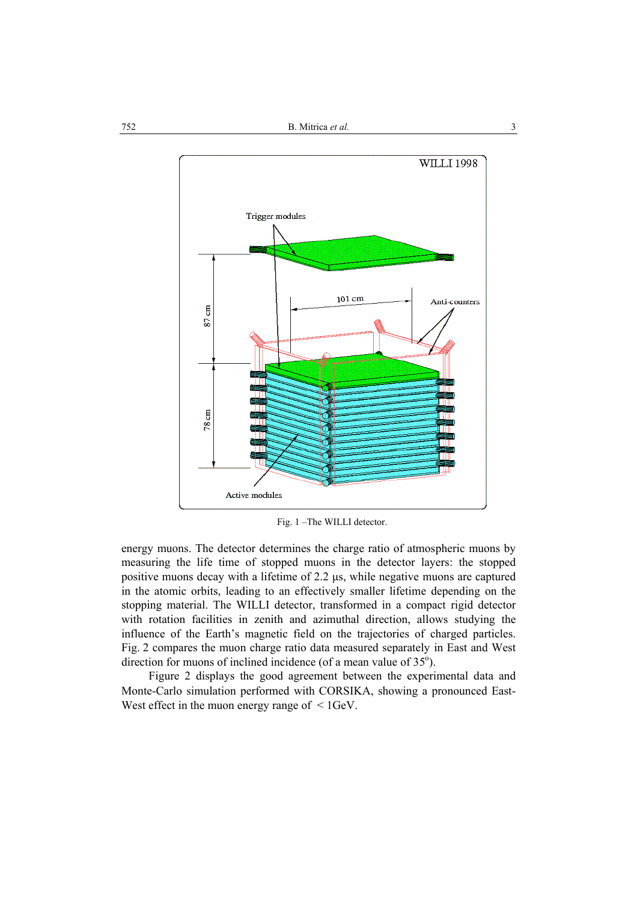

Fig. 1 –The WILLI detector.

energy muons. The detector determines the charge ratio of atmospheric muons by measuring the life time of stopped muons in the detector layers: the stopped positive muons decay with a lifetime of 2.2 µs, while negative muons are captured in the atomic orbits, leading to an effectively smaller lifetime depending on the stopping material. The WILLI detector, transformed in a compact rigid detector with rotation facilities in zenith and azimuthal direction, allows studying the influence of the Earth's magnetic field on the trajectories of charged particles. Fig. 2 compares the muon charge ratio data measured separately in East and West direction for muons of inclined incidence (of a mean value of  $35^{\circ}$ ).

Figure 2 displays the good agreement between the experimental data and Monte-Carlo simulation performed with CORSIKA, showing a pronounced East-West effect in the muon energy range of  $\leq 1$ GeV.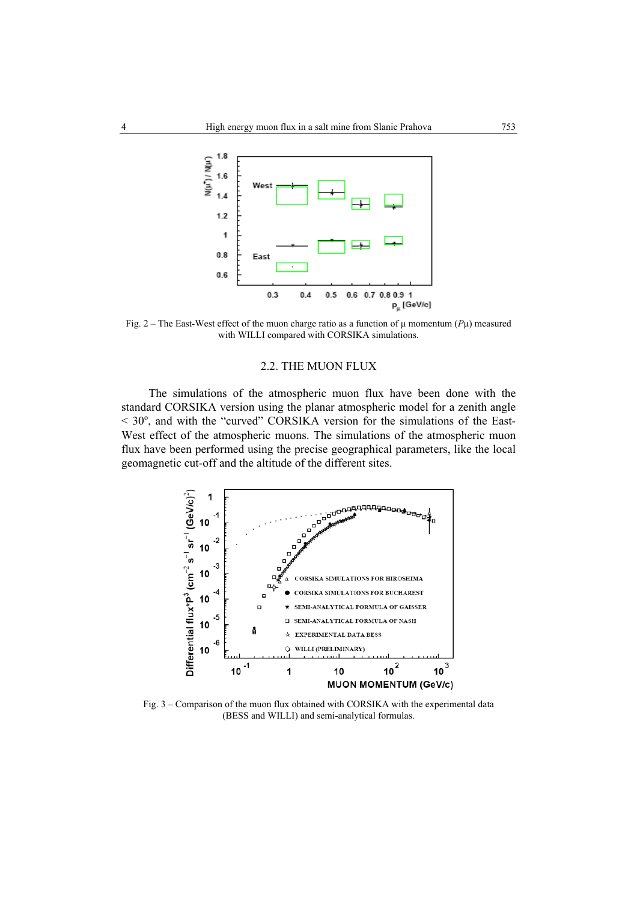

Fig. 2 – The East-West effect of the muon charge ratio as a function of  $\mu$  momentum ( $P\mu$ ) measured with WILLI compared with CORSIKA simulations.

#### 2.2. THE MUON FLUX

The simulations of the atmospheric muon flux have been done with the standard CORSIKA version using the planar atmospheric model for a zenith angle  $<$  30 $^{\circ}$ , and with the "curved" CORSIKA version for the simulations of the East-West effect of the atmospheric muons. The simulations of the atmospheric muon flux have been performed using the precise geographical parameters, like the local geomagnetic cut-off and the altitude of the different sites.



Fig. 3 – Comparison of the muon flux obtained with CORSIKA with the experimental data (BESS and WILLI) and semi-analytical formulas.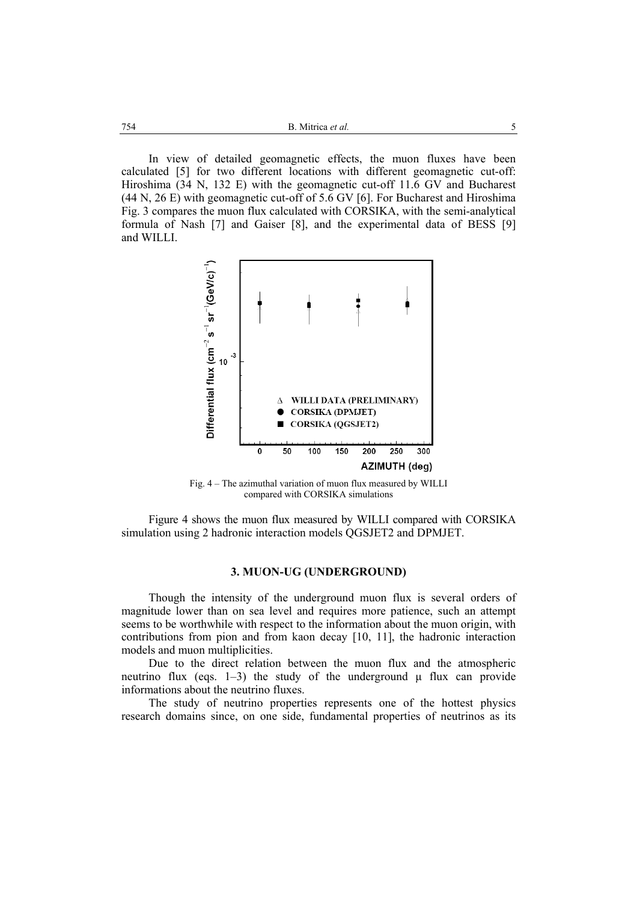In view of detailed geomagnetic effects, the muon fluxes have been calculated [5] for two different locations with different geomagnetic cut-off: Hiroshima (34 N, 132 E) with the geomagnetic cut-off 11.6 GV and Bucharest (44 N, 26 E) with geomagnetic cut-off of 5.6 GV [6]. For Bucharest and Hiroshima Fig. 3 compares the muon flux calculated with CORSIKA, with the semi-analytical formula of Nash [7] and Gaiser [8], and the experimental data of BESS [9] and WILLI.



Fig. 4 – The azimuthal variation of muon flux measured by WILLI compared with CORSIKA simulations

Figure 4 shows the muon flux measured by WILLI compared with CORSIKA simulation using 2 hadronic interaction models QGSJET2 and DPMJET.

## **3. MUON-UG (UNDERGROUND)**

Though the intensity of the underground muon flux is several orders of magnitude lower than on sea level and requires more patience, such an attempt seems to be worthwhile with respect to the information about the muon origin, with contributions from pion and from kaon decay [10, 11], the hadronic interaction models and muon multiplicities.

Due to the direct relation between the muon flux and the atmospheric neutrino flux (eqs. 1–3) the study of the underground  $\mu$  flux can provide informations about the neutrino fluxes.

The study of neutrino properties represents one of the hottest physics research domains since, on one side, fundamental properties of neutrinos as its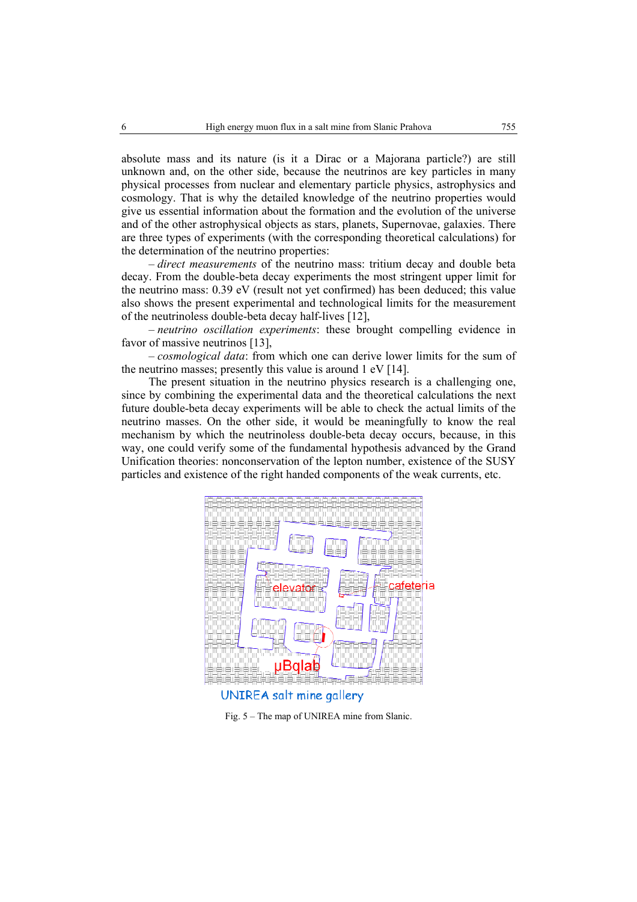absolute mass and its nature (is it a Dirac or a Majorana particle?) are still unknown and, on the other side, because the neutrinos are key particles in many physical processes from nuclear and elementary particle physics, astrophysics and cosmology. That is why the detailed knowledge of the neutrino properties would give us essential information about the formation and the evolution of the universe and of the other astrophysical objects as stars, planets, Supernovae, galaxies. There are three types of experiments (with the corresponding theoretical calculations) for the determination of the neutrino properties:

– *direct measurements* of the neutrino mass: tritium decay and double beta decay. From the double-beta decay experiments the most stringent upper limit for the neutrino mass: 0.39 eV (result not yet confirmed) has been deduced; this value also shows the present experimental and technological limits for the measurement of the neutrinoless double-beta decay half-lives [12],

– *neutrino oscillation experiments*: these brought compelling evidence in favor of massive neutrinos [13],

– *cosmological data*: from which one can derive lower limits for the sum of the neutrino masses; presently this value is around 1 eV [14].

The present situation in the neutrino physics research is a challenging one, since by combining the experimental data and the theoretical calculations the next future double-beta decay experiments will be able to check the actual limits of the neutrino masses. On the other side, it would be meaningfully to know the real mechanism by which the neutrinoless double-beta decay occurs, because, in this way, one could verify some of the fundamental hypothesis advanced by the Grand Unification theories: nonconservation of the lepton number, existence of the SUSY particles and existence of the right handed components of the weak currents, etc.



Fig. 5 – The map of UNIREA mine from Slanic.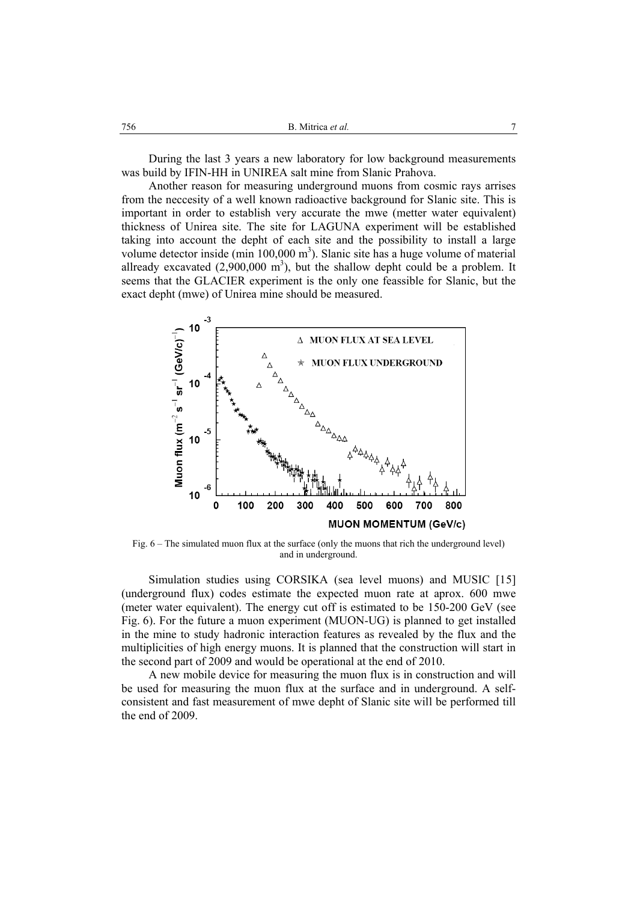During the last 3 years a new laboratory for low background measurements was build by IFIN-HH in UNIREA salt mine from Slanic Prahova.

Another reason for measuring underground muons from cosmic rays arrises from the neccesity of a well known radioactive background for Slanic site. This is important in order to establish very accurate the mwe (metter water equivalent) thickness of Unirea site. The site for LAGUNA experiment will be established taking into account the depht of each site and the possibility to install a large volume detector inside (min  $100,000$  m<sup>3</sup>). Slanic site has a huge volume of material allready excavated  $(2,900,000 \text{ m}^3)$ , but the shallow depht could be a problem. It seems that the GLACIER experiment is the only one feassible for Slanic, but the exact depht (mwe) of Unirea mine should be measured.



Fig. 6 – The simulated muon flux at the surface (only the muons that rich the underground level) and in underground.

Simulation studies using CORSIKA (sea level muons) and MUSIC [15] (underground flux) codes estimate the expected muon rate at aprox. 600 mwe (meter water equivalent). The energy cut off is estimated to be 150-200 GeV (see Fig. 6). For the future a muon experiment (MUON-UG) is planned to get installed in the mine to study hadronic interaction features as revealed by the flux and the multiplicities of high energy muons. It is planned that the construction will start in the second part of 2009 and would be operational at the end of 2010.

A new mobile device for measuring the muon flux is in construction and will be used for measuring the muon flux at the surface and in underground. A selfconsistent and fast measurement of mwe depht of Slanic site will be performed till the end of 2009.